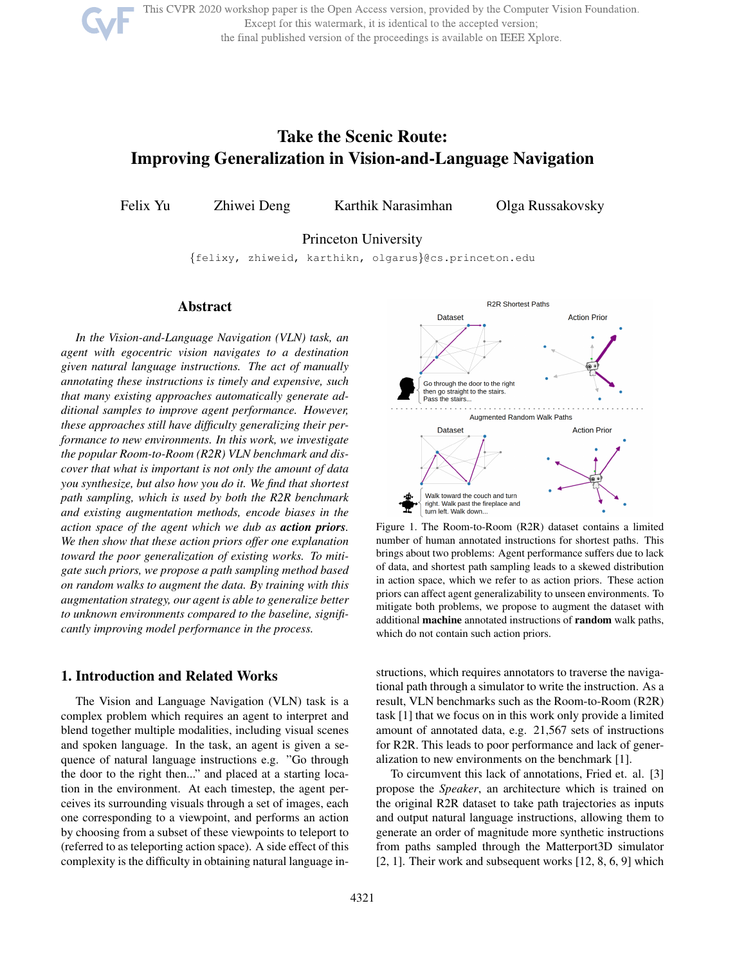This CVPR 2020 workshop paper is the Open Access version, provided by the Computer Vision Foundation. Except for this watermark, it is identical to the accepted version;

the final published version of the proceedings is available on IEEE Xplore.

# Take the Scenic Route: Improving Generalization in Vision-and-Language Navigation

Felix Yu Zhiwei Deng Karthik Narasimhan Olga Russakovsky

Princeton University

{felixy, zhiweid, karthikn, olgarus}@cs.princeton.edu

#### Abstract

*In the Vision-and-Language Navigation (VLN) task, an agent with egocentric vision navigates to a destination given natural language instructions. The act of manually annotating these instructions is timely and expensive, such that many existing approaches automatically generate additional samples to improve agent performance. However, these approaches still have difficulty generalizing their performance to new environments. In this work, we investigate the popular Room-to-Room (R2R) VLN benchmark and discover that what is important is not only the amount of data you synthesize, but also how you do it. We find that shortest path sampling, which is used by both the R2R benchmark and existing augmentation methods, encode biases in the action space of the agent which we dub as action priors. We then show that these action priors offer one explanation toward the poor generalization of existing works. To mitigate such priors, we propose a path sampling method based on random walks to augment the data. By training with this augmentation strategy, our agent is able to generalize better to unknown environments compared to the baseline, significantly improving model performance in the process.*

# 1. Introduction and Related Works

The Vision and Language Navigation (VLN) task is a complex problem which requires an agent to interpret and blend together multiple modalities, including visual scenes and spoken language. In the task, an agent is given a sequence of natural language instructions e.g. "Go through the door to the right then..." and placed at a starting location in the environment. At each timestep, the agent perceives its surrounding visuals through a set of images, each one corresponding to a viewpoint, and performs an action by choosing from a subset of these viewpoints to teleport to (referred to as teleporting action space). A side effect of this complexity is the difficulty in obtaining natural language in-



Figure 1. The Room-to-Room (R2R) dataset contains a limited number of human annotated instructions for shortest paths. This brings about two problems: Agent performance suffers due to lack of data, and shortest path sampling leads to a skewed distribution in action space, which we refer to as action priors. These action priors can affect agent generalizability to unseen environments. To mitigate both problems, we propose to augment the dataset with additional machine annotated instructions of random walk paths, which do not contain such action priors.

structions, which requires annotators to traverse the navigational path through a simulator to write the instruction. As a result, VLN benchmarks such as the Room-to-Room (R2R) task [1] that we focus on in this work only provide a limited amount of annotated data, e.g. 21,567 sets of instructions for R2R. This leads to poor performance and lack of generalization to new environments on the benchmark [1].

To circumvent this lack of annotations, Fried et. al. [3] propose the *Speaker*, an architecture which is trained on the original R2R dataset to take path trajectories as inputs and output natural language instructions, allowing them to generate an order of magnitude more synthetic instructions from paths sampled through the Matterport3D simulator  $[2, 1]$ . Their work and subsequent works  $[12, 8, 6, 9]$  which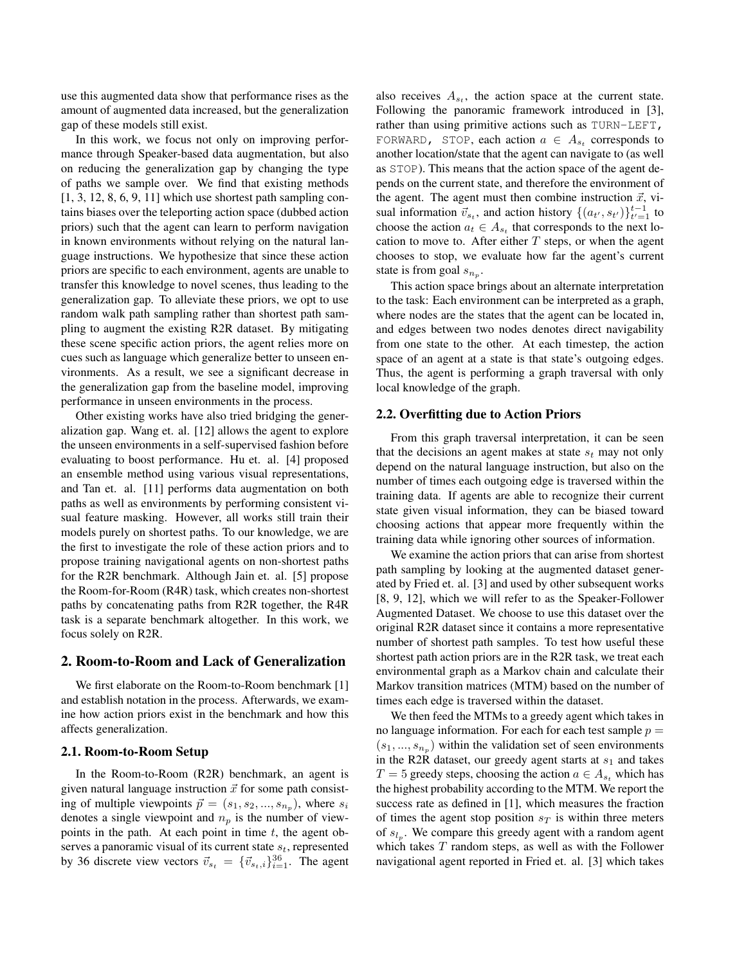use this augmented data show that performance rises as the amount of augmented data increased, but the generalization gap of these models still exist.

In this work, we focus not only on improving performance through Speaker-based data augmentation, but also on reducing the generalization gap by changing the type of paths we sample over. We find that existing methods  $[1, 3, 12, 8, 6, 9, 11]$  which use shortest path sampling contains biases over the teleporting action space (dubbed action priors) such that the agent can learn to perform navigation in known environments without relying on the natural language instructions. We hypothesize that since these action priors are specific to each environment, agents are unable to transfer this knowledge to novel scenes, thus leading to the generalization gap. To alleviate these priors, we opt to use random walk path sampling rather than shortest path sampling to augment the existing R2R dataset. By mitigating these scene specific action priors, the agent relies more on cues such as language which generalize better to unseen environments. As a result, we see a significant decrease in the generalization gap from the baseline model, improving performance in unseen environments in the process.

Other existing works have also tried bridging the generalization gap. Wang et. al. [12] allows the agent to explore the unseen environments in a self-supervised fashion before evaluating to boost performance. Hu et. al. [4] proposed an ensemble method using various visual representations, and Tan et. al. [11] performs data augmentation on both paths as well as environments by performing consistent visual feature masking. However, all works still train their models purely on shortest paths. To our knowledge, we are the first to investigate the role of these action priors and to propose training navigational agents on non-shortest paths for the R2R benchmark. Although Jain et. al. [5] propose the Room-for-Room (R4R) task, which creates non-shortest paths by concatenating paths from R2R together, the R4R task is a separate benchmark altogether. In this work, we focus solely on R2R.

## 2. Room-to-Room and Lack of Generalization

We first elaborate on the Room-to-Room benchmark [1] and establish notation in the process. Afterwards, we examine how action priors exist in the benchmark and how this affects generalization.

#### 2.1. Room-to-Room Setup

In the Room-to-Room (R2R) benchmark, an agent is given natural language instruction  $\vec{x}$  for some path consisting of multiple viewpoints  $\vec{p} = (s_1, s_2, ..., s_{n_p})$ , where  $s_i$ denotes a single viewpoint and  $n_p$  is the number of viewpoints in the path. At each point in time  $t$ , the agent observes a panoramic visual of its current state  $s_t$ , represented by 36 discrete view vectors  $\vec{v}_{s_t} = {\{\vec{v}_{s_t,i}\}}_{i=1}^{36}$ . The agent

also receives  $A_{s_t}$ , the action space at the current state. Following the panoramic framework introduced in [3], rather than using primitive actions such as TURN-LEFT, FORWARD, STOP, each action  $a \in A_{s_t}$  corresponds to another location/state that the agent can navigate to (as well as STOP). This means that the action space of the agent depends on the current state, and therefore the environment of the agent. The agent must then combine instruction  $\vec{x}$ , visual information  $\vec{v}_{s_t}$ , and action history  $\{(a_{t'}, s_{t'})\}_{t'=1}^{t-1}$  to choose the action  $a_t \in A_{s_t}$  that corresponds to the next location to move to. After either  $T$  steps, or when the agent chooses to stop, we evaluate how far the agent's current state is from goal  $s_{n_p}$ .

This action space brings about an alternate interpretation to the task: Each environment can be interpreted as a graph, where nodes are the states that the agent can be located in, and edges between two nodes denotes direct navigability from one state to the other. At each timestep, the action space of an agent at a state is that state's outgoing edges. Thus, the agent is performing a graph traversal with only local knowledge of the graph.

## 2.2. Overfitting due to Action Priors

From this graph traversal interpretation, it can be seen that the decisions an agent makes at state  $s_t$  may not only depend on the natural language instruction, but also on the number of times each outgoing edge is traversed within the training data. If agents are able to recognize their current state given visual information, they can be biased toward choosing actions that appear more frequently within the training data while ignoring other sources of information.

We examine the action priors that can arise from shortest path sampling by looking at the augmented dataset generated by Fried et. al. [3] and used by other subsequent works [8, 9, 12], which we will refer to as the Speaker-Follower Augmented Dataset. We choose to use this dataset over the original R2R dataset since it contains a more representative number of shortest path samples. To test how useful these shortest path action priors are in the R2R task, we treat each environmental graph as a Markov chain and calculate their Markov transition matrices (MTM) based on the number of times each edge is traversed within the dataset.

We then feed the MTMs to a greedy agent which takes in no language information. For each for each test sample  $p =$  $(s_1, ..., s_{n_p})$  within the validation set of seen environments in the R2R dataset, our greedy agent starts at  $s_1$  and takes  $T = 5$  greedy steps, choosing the action  $a \in A_{st}$  which has the highest probability according to the MTM. We report the success rate as defined in [1], which measures the fraction of times the agent stop position  $s_T$  is within three meters of  $s_{l_p}$ . We compare this greedy agent with a random agent which takes  $T$  random steps, as well as with the Follower navigational agent reported in Fried et. al. [3] which takes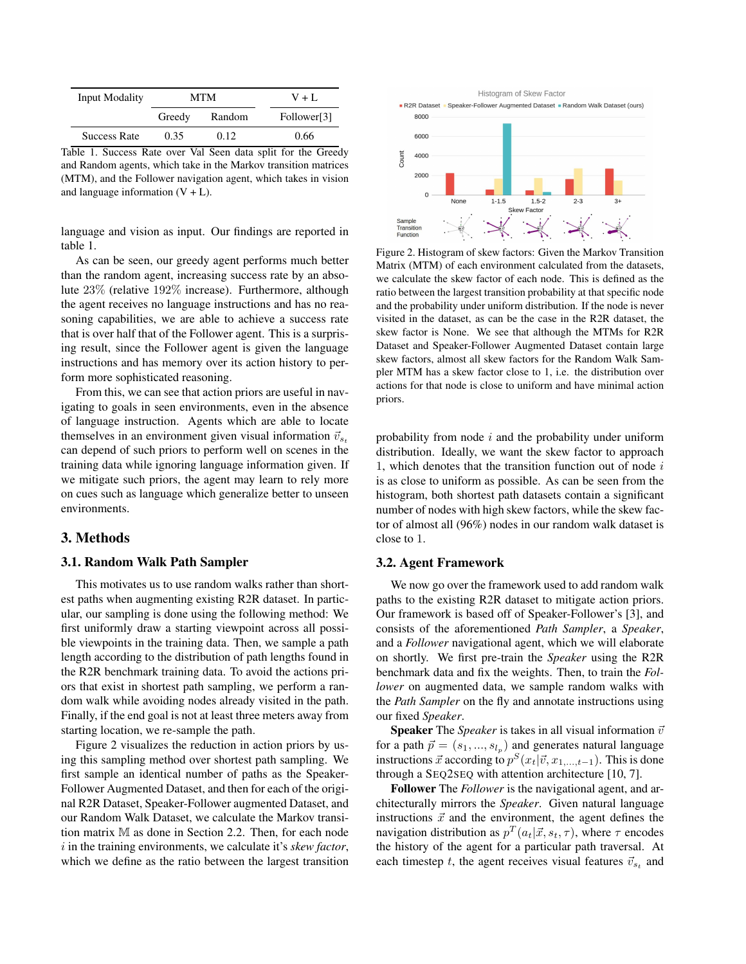| <b>Input Modality</b> |        | MTM    | $V + L$                 |
|-----------------------|--------|--------|-------------------------|
|                       | Greedy | Random | Follower <sup>[3]</sup> |
| <b>Success Rate</b>   | 0.35   | 0.12   | 0.66                    |

Table 1. Success Rate over Val Seen data split for the Greedy and Random agents, which take in the Markov transition matrices (MTM), and the Follower navigation agent, which takes in vision and language information  $(V + L)$ .

language and vision as input. Our findings are reported in table 1.

As can be seen, our greedy agent performs much better than the random agent, increasing success rate by an absolute 23% (relative 192% increase). Furthermore, although the agent receives no language instructions and has no reasoning capabilities, we are able to achieve a success rate that is over half that of the Follower agent. This is a surprising result, since the Follower agent is given the language instructions and has memory over its action history to perform more sophisticated reasoning.

From this, we can see that action priors are useful in navigating to goals in seen environments, even in the absence of language instruction. Agents which are able to locate themselves in an environment given visual information  $\vec{v}_{s_t}$ can depend of such priors to perform well on scenes in the training data while ignoring language information given. If we mitigate such priors, the agent may learn to rely more on cues such as language which generalize better to unseen environments.

## 3. Methods

#### 3.1. Random Walk Path Sampler

This motivates us to use random walks rather than shortest paths when augmenting existing R2R dataset. In particular, our sampling is done using the following method: We first uniformly draw a starting viewpoint across all possible viewpoints in the training data. Then, we sample a path length according to the distribution of path lengths found in the R2R benchmark training data. To avoid the actions priors that exist in shortest path sampling, we perform a random walk while avoiding nodes already visited in the path. Finally, if the end goal is not at least three meters away from starting location, we re-sample the path.

Figure 2 visualizes the reduction in action priors by using this sampling method over shortest path sampling. We first sample an identical number of paths as the Speaker-Follower Augmented Dataset, and then for each of the original R2R Dataset, Speaker-Follower augmented Dataset, and our Random Walk Dataset, we calculate the Markov transition matrix M as done in Section 2.2. Then, for each node i in the training environments, we calculate it's *skew factor*, which we define as the ratio between the largest transition

Histogram of Skew Factor R2R Dataset · Speaker-Follower Augmented Dataset · Random Walk Dataset (ours) 8000 6000 Count 4000 2000  $\Omega$ None  $1 - 1.5$  $1.5 - 2$ Skew Factor Sample<br>Transition<br>Function

Figure 2. Histogram of skew factors: Given the Markov Transition Matrix (MTM) of each environment calculated from the datasets, we calculate the skew factor of each node. This is defined as the ratio between the largest transition probability at that specific node and the probability under uniform distribution. If the node is never visited in the dataset, as can be the case in the R2R dataset, the skew factor is None. We see that although the MTMs for R2R Dataset and Speaker-Follower Augmented Dataset contain large skew factors, almost all skew factors for the Random Walk Sampler MTM has a skew factor close to 1, i.e. the distribution over actions for that node is close to uniform and have minimal action priors.

probability from node  $i$  and the probability under uniform distribution. Ideally, we want the skew factor to approach 1, which denotes that the transition function out of node  $i$ is as close to uniform as possible. As can be seen from the histogram, both shortest path datasets contain a significant number of nodes with high skew factors, while the skew factor of almost all (96%) nodes in our random walk dataset is close to 1.

#### 3.2. Agent Framework

We now go over the framework used to add random walk paths to the existing R2R dataset to mitigate action priors. Our framework is based off of Speaker-Follower's [3], and consists of the aforementioned *Path Sampler*, a *Speaker*, and a *Follower* navigational agent, which we will elaborate on shortly. We first pre-train the *Speaker* using the R2R benchmark data and fix the weights. Then, to train the *Follower* on augmented data, we sample random walks with the *Path Sampler* on the fly and annotate instructions using our fixed *Speaker*.

**Speaker** The *Speaker* is takes in all visual information  $\vec{v}$ for a path  $\vec{p} = (s_1, ..., s_{l_p})$  and generates natural language instructions  $\vec{x}$  according to  $p^{S}(x_t | \vec{v}, x_{1, \dots, t-1})$ . This is done through a SEQ2SEQ with attention architecture [10, 7].

Follower The *Follower* is the navigational agent, and architecturally mirrors the *Speaker*. Given natural language instructions  $\vec{x}$  and the environment, the agent defines the navigation distribution as  $p^T(a_t|\vec{x}, s_t, \tau)$ , where  $\tau$  encodes the history of the agent for a particular path traversal. At each timestep t, the agent receives visual features  $\vec{v}_{s_t}$  and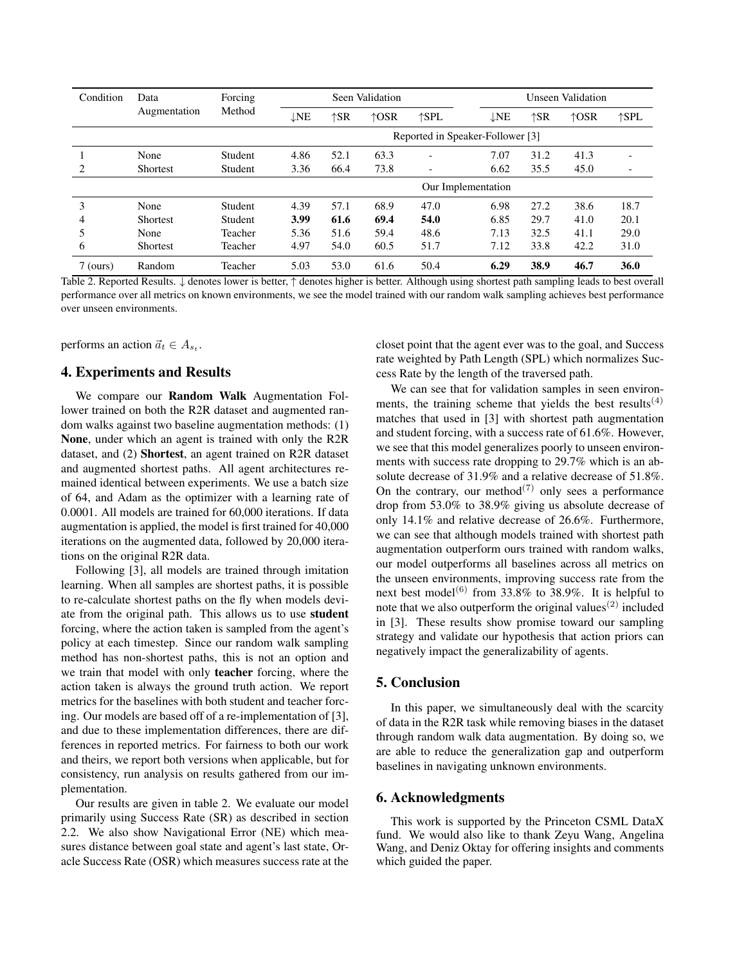| Condition  | Data<br>Augmentation | Forcing<br>Method | Seen Validation                  |      |      |                          | Unseen Validation |               |                |                |  |
|------------|----------------------|-------------------|----------------------------------|------|------|--------------------------|-------------------|---------------|----------------|----------------|--|
|            |                      |                   | $\downarrow$ NE                  | ↑SR  | ↑OSR | $\uparrow$ SPL           | $\downarrow$ NE   | $\uparrow$ SR | $\uparrow$ OSR | $\uparrow$ SPL |  |
|            |                      |                   | Reported in Speaker-Follower [3] |      |      |                          |                   |               |                |                |  |
|            | None                 | Student           | 4.86                             | 52.1 | 63.3 | $\overline{\phantom{0}}$ | 7.07              | 31.2          | 41.3           |                |  |
| 2          | Shortest             | Student           | 3.36                             | 66.4 | 73.8 | $\overline{\phantom{0}}$ | 6.62              | 35.5          | 45.0           |                |  |
|            |                      |                   | Our Implementation               |      |      |                          |                   |               |                |                |  |
| 3          | None                 | Student           | 4.39                             | 57.1 | 68.9 | 47.0                     | 6.98              | 27.2          | 38.6           | 18.7           |  |
| 4          | <b>Shortest</b>      | Student           | 3.99                             | 61.6 | 69.4 | 54.0                     | 6.85              | 29.7          | 41.0           | 20.1           |  |
| 5          | None                 | Teacher           | 5.36                             | 51.6 | 59.4 | 48.6                     | 7.13              | 32.5          | 41.1           | 29.0           |  |
| 6          | Shortest             | Teacher           | 4.97                             | 54.0 | 60.5 | 51.7                     | 7.12              | 33.8          | 42.2           | 31.0           |  |
| $7$ (ours) | Random               | Teacher           | 5.03                             | 53.0 | 61.6 | 50.4                     | 6.29              | 38.9          | 46.7           | 36.0           |  |

Table 2. Reported Results. ↓ denotes lower is better, ↑ denotes higher is better. Although using shortest path sampling leads to best overall performance over all metrics on known environments, we see the model trained with our random walk sampling achieves best performance over unseen environments.

performs an action  $\vec{a}_t \in A_{s_t}$ .

## 4. Experiments and Results

We compare our Random Walk Augmentation Follower trained on both the R2R dataset and augmented random walks against two baseline augmentation methods: (1) None, under which an agent is trained with only the R2R dataset, and (2) Shortest, an agent trained on R2R dataset and augmented shortest paths. All agent architectures remained identical between experiments. We use a batch size of 64, and Adam as the optimizer with a learning rate of 0.0001. All models are trained for 60,000 iterations. If data augmentation is applied, the model is first trained for 40,000 iterations on the augmented data, followed by 20,000 iterations on the original R2R data.

Following [3], all models are trained through imitation learning. When all samples are shortest paths, it is possible to re-calculate shortest paths on the fly when models deviate from the original path. This allows us to use student forcing, where the action taken is sampled from the agent's policy at each timestep. Since our random walk sampling method has non-shortest paths, this is not an option and we train that model with only teacher forcing, where the action taken is always the ground truth action. We report metrics for the baselines with both student and teacher forcing. Our models are based off of a re-implementation of [3], and due to these implementation differences, there are differences in reported metrics. For fairness to both our work and theirs, we report both versions when applicable, but for consistency, run analysis on results gathered from our implementation.

Our results are given in table 2. We evaluate our model primarily using Success Rate (SR) as described in section 2.2. We also show Navigational Error (NE) which measures distance between goal state and agent's last state, Oracle Success Rate (OSR) which measures success rate at the closet point that the agent ever was to the goal, and Success rate weighted by Path Length (SPL) which normalizes Success Rate by the length of the traversed path.

We can see that for validation samples in seen environments, the training scheme that yields the best results<sup> $(4)$ </sup> matches that used in [3] with shortest path augmentation and student forcing, with a success rate of 61.6%. However, we see that this model generalizes poorly to unseen environments with success rate dropping to 29.7% which is an absolute decrease of 31.9% and a relative decrease of 51.8%. On the contrary, our method<sup> $(7)$ </sup> only sees a performance drop from 53.0% to 38.9% giving us absolute decrease of only 14.1% and relative decrease of 26.6%. Furthermore, we can see that although models trained with shortest path augmentation outperform ours trained with random walks, our model outperforms all baselines across all metrics on the unseen environments, improving success rate from the next best model<sup>(6)</sup> from 33.8% to 38.9%. It is helpful to note that we also outperform the original values<sup> $(2)$ </sup> included in [3]. These results show promise toward our sampling strategy and validate our hypothesis that action priors can negatively impact the generalizability of agents.

# 5. Conclusion

In this paper, we simultaneously deal with the scarcity of data in the R2R task while removing biases in the dataset through random walk data augmentation. By doing so, we are able to reduce the generalization gap and outperform baselines in navigating unknown environments.

# 6. Acknowledgments

This work is supported by the Princeton CSML DataX fund. We would also like to thank Zeyu Wang, Angelina Wang, and Deniz Oktay for offering insights and comments which guided the paper.